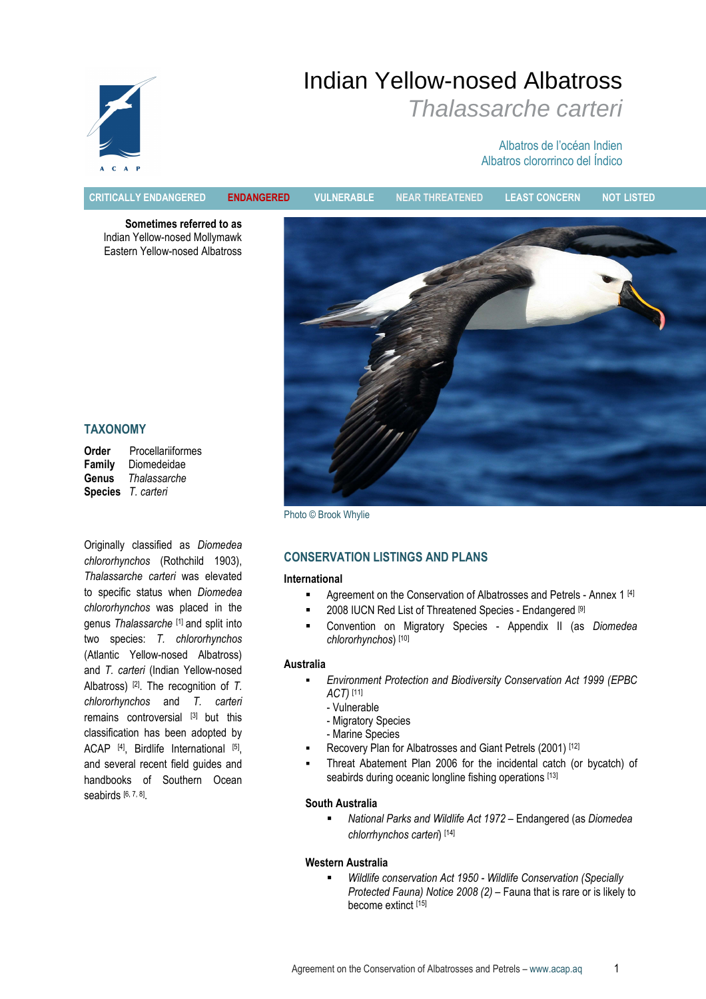# Indian Yellow-nosed Albatross Thalassarche carteri



## Albatros de l'océan Indien Albatros clororrinco del Índico

CRITICALLY ENDANGERED ENDANGERED VULNERABLE NEAR THREATENED LEAST CONCERN NOT LISTED

Sometimes referred to as Indian Yellow-nosed Mollymawk Eastern Yellow-nosed Albatross



TAXONOMY

Order Procellariiformes<br>Family Diomedeidae Diomedeidae Genus Thalassarche Species T. carteri

Originally classified as Diomedea chlororhynchos (Rothchild 1903), Thalassarche carteri was elevated to specific status when Diomedea chlororhynchos was placed in the genus Thalassarche [1] and split into two species: T. chlororhynchos (Atlantic Yellow-nosed Albatross) and T. carteri (Indian Yellow-nosed Albatross)  $[2]$ . The recognition of T. chlororhynchos and T. carteri remains controversial [3] but this classification has been adopted by ACAP<sup>[4]</sup>, Birdlife International [5], and several recent field guides and handbooks of Southern Ocean seabirds [6, 7, 8]

Photo © Brook Whylie

## CONSERVATION LISTINGS AND PLANS

#### International

- **Agreement on the Conservation of Albatrosses and Petrels Annex 1 [4]**
- 2008 IUCN Red List of Threatened Species Endangered [9]
- Convention on Migratory Species Appendix II (as Diomedea chlororhynchos) [10]

#### Australia

- Environment Protection and Biodiversity Conservation Act 1999 (EPBC ACT) [11]
	- Vulnerable
	- Migratory Species
	- Marine Species
- Recovery Plan for Albatrosses and Giant Petrels (2001) [12]
- Threat Abatement Plan 2006 for the incidental catch (or bycatch) of seabirds during oceanic longline fishing operations [13]

#### South Australia

■ National Parks and Wildlife Act 1972 – Endangered (as Diomedea chlorrhynchos carteri) [14]

#### Western Australia

 Wildlife conservation Act 1950 - Wildlife Conservation (Specially Protected Fauna) Notice 2008 (2) – Fauna that is rare or is likely to become extinct [15]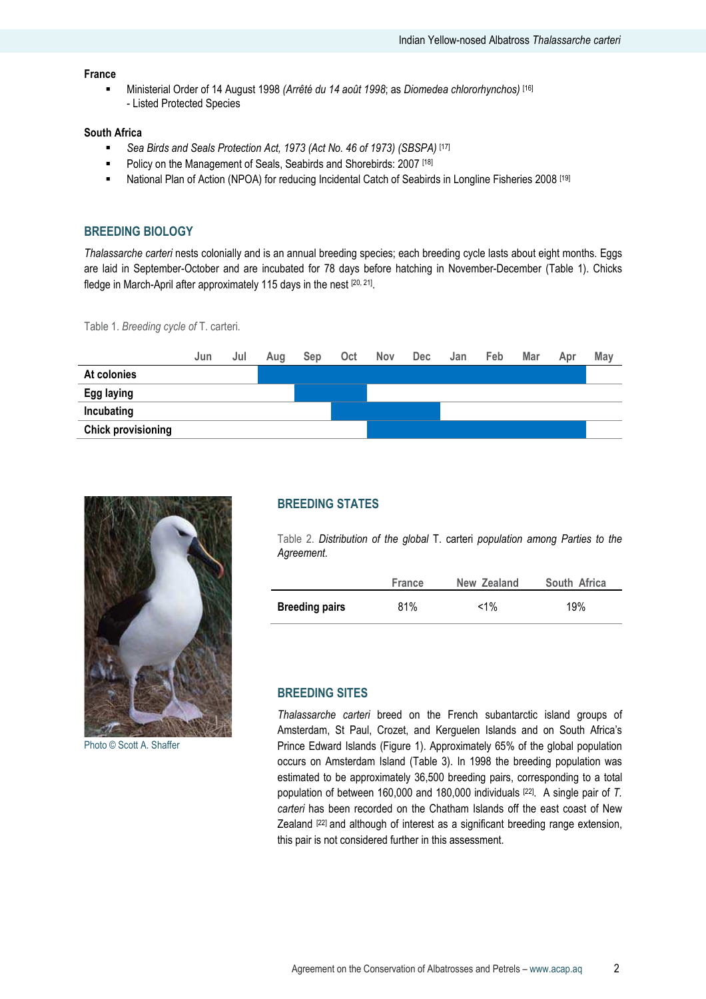## France

Ministerial Order of 14 August 1998 (Arrêté du 14 août 1998; as Diomedea chlororhynchos) [16] - Listed Protected Species

#### South Africa

- Sea Birds and Seals Protection Act, 1973 (Act No. 46 of 1973) (SBSPA) [17]
- Policy on the Management of Seals, Seabirds and Shorebirds: 2007<sup>[18]</sup>
- National Plan of Action (NPOA) for reducing Incidental Catch of Seabirds in Longline Fisheries 2008 [19]

#### BREEDING BIOLOGY

Thalassarche carteri nests colonially and is an annual breeding species; each breeding cycle lasts about eight months. Eggs are laid in September-October and are incubated for 78 days before hatching in November-December (Table 1). Chicks fledge in March-April after approximately 115 days in the nest [20, 21].

Table 1. Breeding cycle of T. carteri.





Photo © Scott A. Shaffer

#### BREEDING STATES

Table 2. Distribution of the global T. carteri population among Parties to the Agreement.

|                       | <b>France</b> | New Zealand | South Africa |
|-----------------------|---------------|-------------|--------------|
| <b>Breeding pairs</b> | 81%           | $< 1\%$     | 19%          |

#### BREEDING SITES

Thalassarche carteri breed on the French subantarctic island groups of Amsterdam, St Paul, Crozet, and Kerguelen Islands and on South Africa's Prince Edward Islands (Figure 1). Approximately 65% of the global population occurs on Amsterdam Island (Table 3). In 1998 the breeding population was estimated to be approximately 36,500 breeding pairs, corresponding to a total population of between 160,000 and 180,000 individuals [22]. A single pair of T. carteri has been recorded on the Chatham Islands off the east coast of New Zealand [22] and although of interest as a significant breeding range extension, this pair is not considered further in this assessment.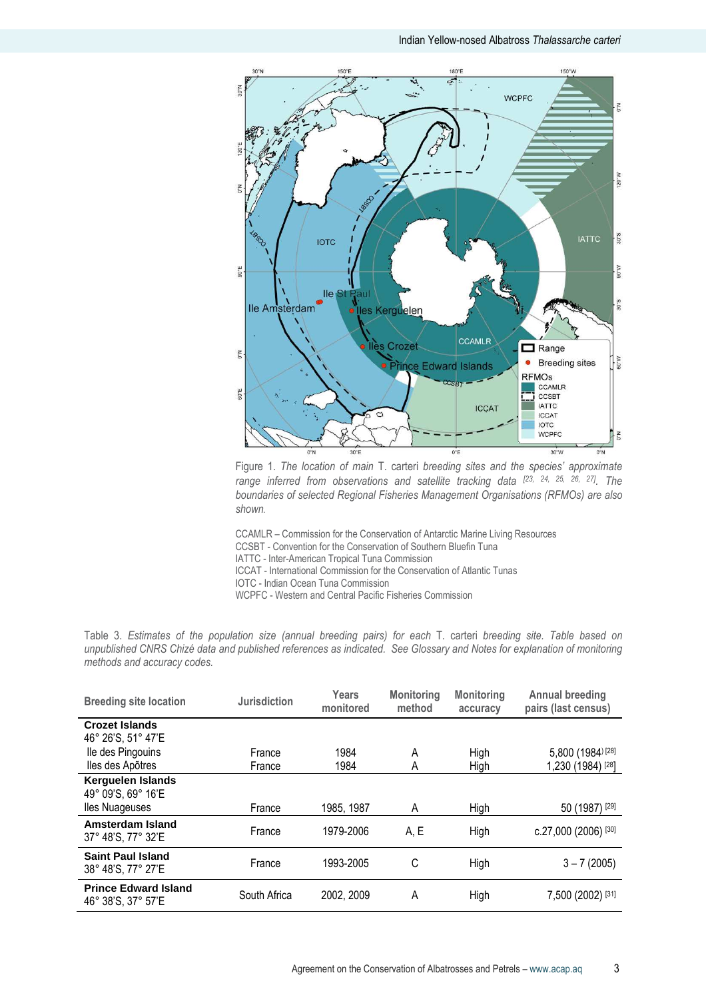

Figure 1. The location of main T. carteri breeding sites and the species' approximate range inferred from observations and satellite tracking data [23, 24, 25, 26, 27]. The boundaries of selected Regional Fisheries Management Organisations (RFMOs) are also shown.

CCAMLR – Commission for the Conservation of Antarctic Marine Living Resources

CCSBT - Convention for the Conservation of Southern Bluefin Tuna

IATTC - Inter-American Tropical Tuna Commission

ICCAT - International Commission for the Conservation of Atlantic Tunas

IOTC - Indian Ocean Tuna Commission

WCPFC - Western and Central Pacific Fisheries Commission

Table 3. Estimates of the population size (annual breeding pairs) for each T. carteri breeding site. Table based on unpublished CNRS Chizé data and published references as indicated. See Glossary and Notes for explanation of monitoring methods and accuracy codes.

| <b>Breeding site location</b>                     | <b>Jurisdiction</b> | Years<br>monitored | <b>Monitoring</b><br>method | <b>Monitoring</b><br>accuracy | <b>Annual breeding</b><br>pairs (last census) |
|---------------------------------------------------|---------------------|--------------------|-----------------------------|-------------------------------|-----------------------------------------------|
| <b>Crozet Islands</b><br>46° 26'S, 51° 47'E       |                     |                    |                             |                               |                                               |
| Ile des Pingouins<br>lles des Apõtres             | France<br>France    | 1984<br>1984       | A<br>A                      | High<br>High                  | 5,800 (1984) [28]<br>1,230 (1984) [28]        |
| Kerguelen Islands<br>49° 09'S, 69° 16'E           |                     |                    |                             |                               |                                               |
| lles Nuageuses                                    | France              | 1985, 1987         | Α                           | High                          | $(1987)$ <sup>[29]</sup><br>50                |
| Amsterdam Island<br>37° 48'S, 77° 32'E            | France              | 1979-2006          | A, E                        | High                          | c.27,000 (2006) [30]                          |
| <b>Saint Paul Island</b><br>38° 48'S, 77° 27'E    | France              | 1993-2005          | C                           | High                          | $3 - 7(2005)$                                 |
| <b>Prince Edward Island</b><br>46° 38'S, 37° 57'E | South Africa        | 2002, 2009         | A                           | High                          | 7,500 (2002) [31]                             |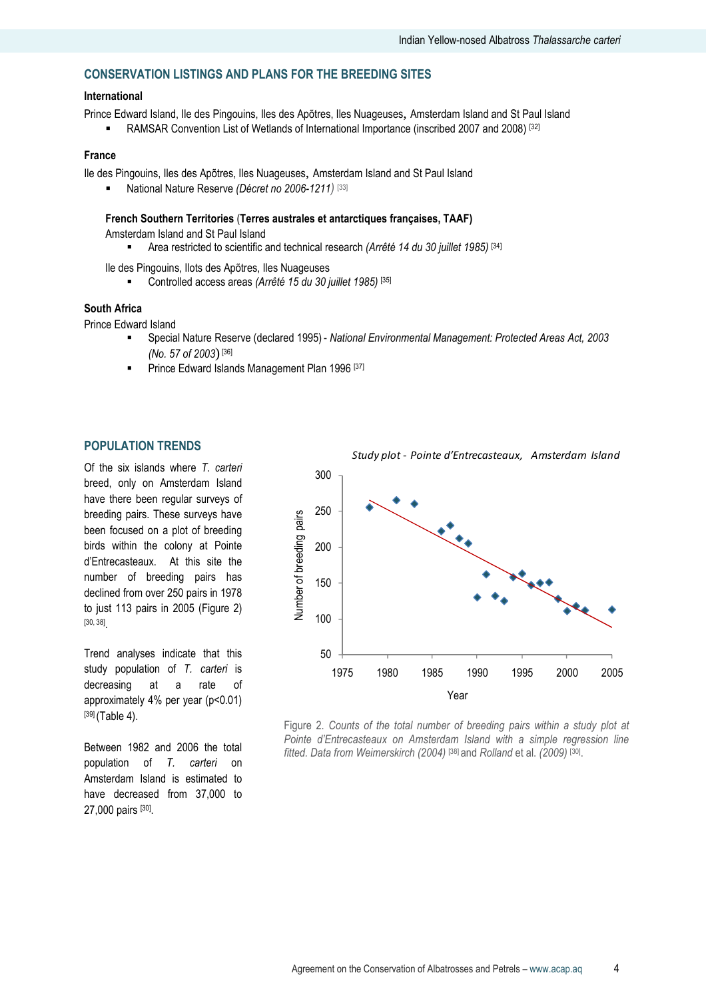## CONSERVATION LISTINGS AND PLANS FOR THE BREEDING SITES

#### International

Prince Edward Island, Ile des Pingouins, Iles des Apõtres, Iles Nuageuses, Amsterdam Island and St Paul Island

RAMSAR Convention List of Wetlands of International Importance (inscribed 2007 and 2008) [32]

#### France

Ile des Pingouins, Iles des Apõtres, Iles Nuageuses, Amsterdam Island and St Paul Island

National Nature Reserve (Décret no 2006-1211) [33]

#### French Southern Territories (Terres australes et antarctiques françaises, TAAF)

Amsterdam Island and St Paul Island

**Area restricted to scientific and technical research (Arrêté 14 du 30 juillet 1985)** [34]

Ile des Pingouins, Ilots des Apõtres, Iles Nuageuses

Controlled access areas (Arrêté 15 du 30 juillet 1985) [35]

#### South Africa

Prince Edward Island

- Special Nature Reserve (declared 1995) National Environmental Management: Protected Areas Act, 2003 (No. 57 of 2003) [36]
- Prince Edward Islands Management Plan 1996<sup>[37]</sup>

#### POPULATION TRENDS

Of the six islands where T. carteri breed, only on Amsterdam Island have there been regular surveys of breeding pairs. These surveys have been focused on a plot of breeding birds within the colony at Pointe d'Entrecasteaux. At this site the number of breeding pairs has declined from over 250 pairs in 1978 to just 113 pairs in 2005 (Figure 2) [30, 38] .

Trend analyses indicate that this study population of T. carteri is decreasing at a rate of approximately 4% per year (p<0.01) [39] (Table 4).

Between 1982 and 2006 the total population of T. carteri on Amsterdam Island is estimated to have decreased from 37,000 to 27,000 pairs [30].



Figure 2. Counts of the total number of breeding pairs within a study plot at Pointe d'Entrecasteaux on Amsterdam Island with a simple regression line fitted. Data from Weimerskirch (2004) [38] and Rolland et al. (2009) [30].

Study plot - Pointe d'Entrecasteaux, Amsterdam Island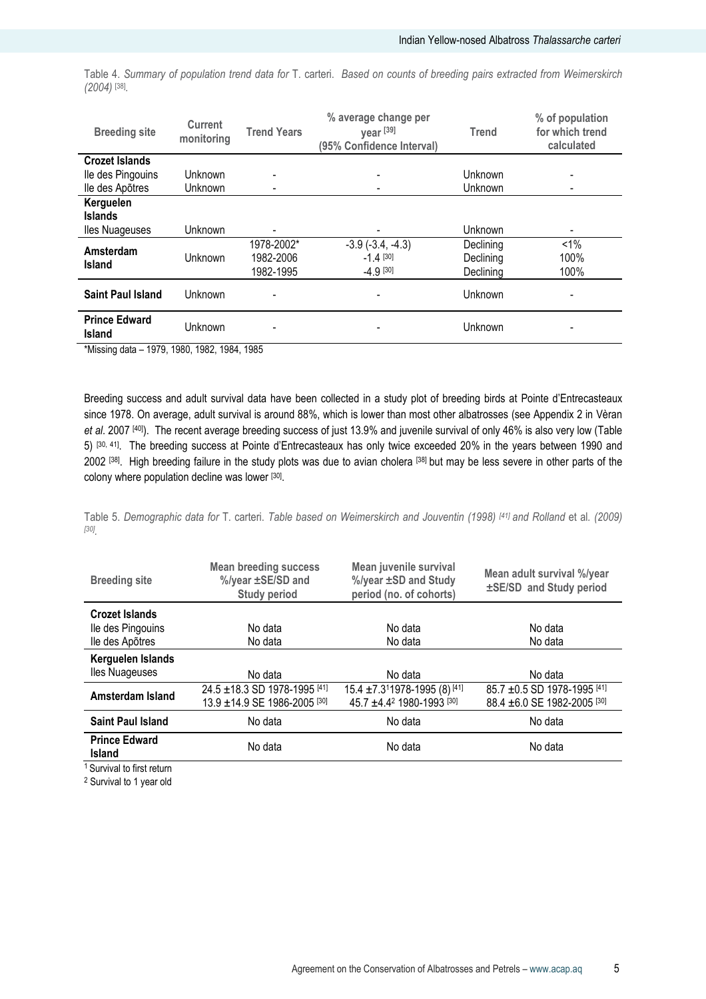Table 4. Summary of population trend data for T. carteri. Based on counts of breeding pairs extracted from Weimerskirch (2004) [38] .

| <b>Breeding site</b>                  | <b>Current</b><br>monitoring | <b>Trend Years</b>                   | % average change per<br>year [39]<br>(95% Confidence Interval) | <b>Trend</b>                        | % of population<br>for which trend<br>calculated |
|---------------------------------------|------------------------------|--------------------------------------|----------------------------------------------------------------|-------------------------------------|--------------------------------------------------|
| <b>Crozet Islands</b>                 |                              |                                      |                                                                |                                     |                                                  |
| Ile des Pingouins                     | Unknown                      |                                      |                                                                | Unknown                             |                                                  |
| lle des Apõtres                       | Unknown                      |                                      |                                                                | Unknown                             |                                                  |
| Kerguelen                             |                              |                                      |                                                                |                                     |                                                  |
| <b>Islands</b>                        |                              |                                      |                                                                |                                     |                                                  |
| <b>Iles Nuageuses</b>                 | Unknown                      | $\overline{\phantom{0}}$             | -                                                              | Unknown                             |                                                  |
| Amsterdam<br><b>Island</b>            | Unknown                      | 1978-2002*<br>1982-2006<br>1982-1995 | $-3.9$ $(-3.4, -4.3)$<br>$-1.4$ [30]<br>$-4.9$ [30]            | Declining<br>Declining<br>Declining | $< 1\%$<br>100%<br>100%                          |
| <b>Saint Paul Island</b>              | Unknown                      |                                      |                                                                | Unknown                             |                                                  |
| <b>Prince Edward</b><br><b>Island</b> | Unknown                      |                                      |                                                                | Unknown                             |                                                  |

\*Missing data – 1979, 1980, 1982, 1984, 1985

Breeding success and adult survival data have been collected in a study plot of breeding birds at Pointe d'Entrecasteaux since 1978. On average, adult survival is around 88%, which is lower than most other albatrosses (see Appendix 2 in Vèran et al. 2007 [40]). The recent average breeding success of just 13.9% and juvenile survival of only 46% is also very low (Table 5) [30, 41]. The breeding success at Pointe d'Entrecasteaux has only twice exceeded 20% in the years between 1990 and 2002 [38]. High breeding failure in the study plots was due to avian cholera [38] but may be less severe in other parts of the colony where population decline was lower [30].

Table 5. Demographic data for T. carteri. Table based on Weimerskirch and Jouventin (1998) [41] and Rolland et al. (2009) [30] .

| <b>Breeding site</b>                  | <b>Mean breeding success</b><br>%/year ±SE/SD and<br><b>Study period</b> | Mean juvenile survival<br>%/year ±SD and Study<br>period (no. of cohorts) | Mean adult survival %/year<br>±SE/SD and Study period |
|---------------------------------------|--------------------------------------------------------------------------|---------------------------------------------------------------------------|-------------------------------------------------------|
| Crozet Islands                        |                                                                          |                                                                           |                                                       |
| lle des Pingouins                     | No data                                                                  | No data                                                                   | No data                                               |
| lle des Apõtres                       | No data                                                                  | No data                                                                   | No data                                               |
| Kerguelen Islands                     |                                                                          |                                                                           |                                                       |
| lles Nuageuses                        | No data                                                                  | No data                                                                   | No data                                               |
| Amsterdam Island                      | 24.5 ±18.3 SD 1978-1995 [41]                                             | 15.4 ±7.311978-1995 (8) [41]                                              | 85.7 ±0.5 SD 1978-1995 [41]                           |
|                                       | 13.9 ±14.9 SE 1986-2005 [30]                                             | 45.7 ±4.42 1980-1993 [30]                                                 | 88.4 ± 6.0 SE 1982-2005 [30]                          |
| <b>Saint Paul Island</b>              | No data                                                                  | No data                                                                   | No data                                               |
| <b>Prince Edward</b><br><b>Island</b> | No data                                                                  | No data                                                                   | No data                                               |
|                                       |                                                                          |                                                                           |                                                       |

<sup>1</sup> Survival to first return

<sup>2</sup> Survival to 1 year old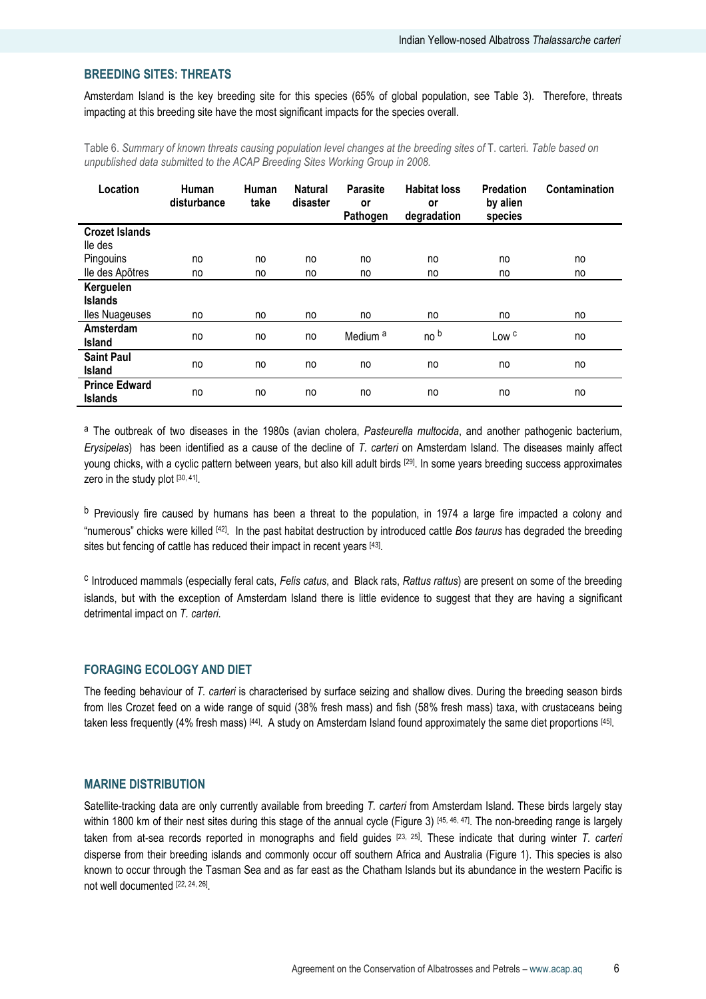#### BREEDING SITES: THREATS

Amsterdam Island is the key breeding site for this species (65% of global population, see Table 3). Therefore, threats impacting at this breeding site have the most significant impacts for the species overall.

Table 6. Summary of known threats causing population level changes at the breeding sites of T. carteri. Table based on unpublished data submitted to the ACAP Breeding Sites Working Group in 2008.

| Location              | Human<br>disturbance | Human<br>take | <b>Natural</b><br>disaster | <b>Parasite</b><br>or<br>Pathogen | <b>Habitat loss</b><br>or<br>degradation | <b>Predation</b><br>by alien<br>species | Contamination |
|-----------------------|----------------------|---------------|----------------------------|-----------------------------------|------------------------------------------|-----------------------------------------|---------------|
| <b>Crozet Islands</b> |                      |               |                            |                                   |                                          |                                         |               |
| lle des               |                      |               |                            |                                   |                                          |                                         |               |
| Pingouins             | no                   | no            | no                         | no                                | no                                       | no                                      | no            |
| lle des Apõtres       | no                   | no            | no                         | no                                | no                                       | no                                      | no            |
| Kerguelen             |                      |               |                            |                                   |                                          |                                         |               |
| <b>Islands</b>        |                      |               |                            |                                   |                                          |                                         |               |
| <b>Iles Nuageuses</b> | no                   | no            | no                         | no                                | no                                       | no                                      | no            |
| Amsterdam             |                      |               |                            | Medium <sup>a</sup>               | no b                                     | Low <sup>c</sup>                        |               |
| Island                | no                   | no            | no                         |                                   |                                          |                                         | no            |
| <b>Saint Paul</b>     |                      |               |                            |                                   |                                          |                                         |               |
| Island                | no                   | no            | no                         | no                                | no                                       | no                                      | no            |
| <b>Prince Edward</b>  |                      |               |                            |                                   |                                          |                                         |               |
| <b>Islands</b>        | no                   | no            | no                         | no                                | no                                       | no                                      | no            |

<sup>a</sup> The outbreak of two diseases in the 1980s (avian cholera, Pasteurella multocida, and another pathogenic bacterium, Erysipelas) has been identified as a cause of the decline of T. carteri on Amsterdam Island. The diseases mainly affect young chicks, with a cyclic pattern between years, but also kill adult birds [29]. In some years breeding success approximates zero in the study plot [30, 41] .

<sup>b</sup> Previously fire caused by humans has been a threat to the population, in 1974 a large fire impacted a colony and "numerous" chicks were killed [42]. In the past habitat destruction by introduced cattle Bos taurus has degraded the breeding sites but fencing of cattle has reduced their impact in recent years [43].

<sup>c</sup> Introduced mammals (especially feral cats, Felis catus, and Black rats, Rattus rattus) are present on some of the breeding islands, but with the exception of Amsterdam Island there is little evidence to suggest that they are having a significant detrimental impact on T. carteri.

#### FORAGING ECOLOGY AND DIET

The feeding behaviour of T. carteri is characterised by surface seizing and shallow dives. During the breeding season birds from Iles Crozet feed on a wide range of squid (38% fresh mass) and fish (58% fresh mass) taxa, with crustaceans being taken less frequently (4% fresh mass) [44]. A study on Amsterdam Island found approximately the same diet proportions [45].

#### MARINE DISTRIBUTION

Satellite-tracking data are only currently available from breeding T. carteri from Amsterdam Island. These birds largely stay within 1800 km of their nest sites during this stage of the annual cycle (Figure 3) [45, 46, 47]. The non-breeding range is largely taken from at-sea records reported in monographs and field guides [23, 25]. These indicate that during winter T. carteri disperse from their breeding islands and commonly occur off southern Africa and Australia (Figure 1). This species is also known to occur through the Tasman Sea and as far east as the Chatham Islands but its abundance in the western Pacific is not well documented [22, 24, 26].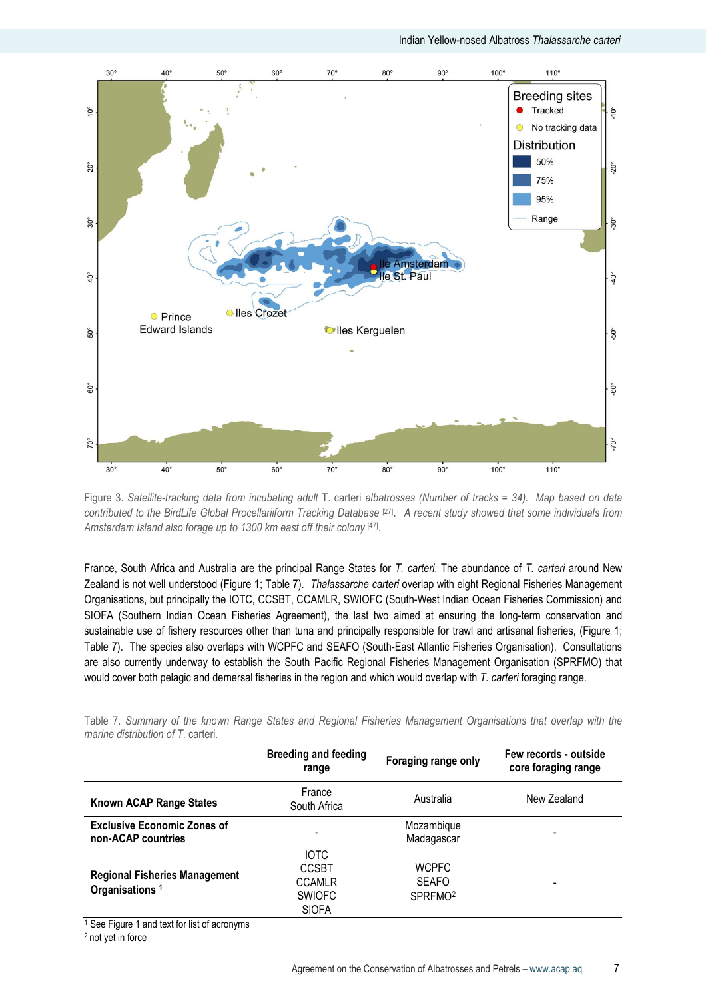

Figure 3. Satellite-tracking data from incubating adult T. carteri albatrosses (Number of tracks = 34). Map based on data contributed to the BirdLife Global Procellariiform Tracking Database<sup>[27]</sup>. A recent study showed that some individuals from Amsterdam Island also forage up to 1300 km east off their colony [47].

France, South Africa and Australia are the principal Range States for T. carteri. The abundance of T. carteri around New Zealand is not well understood (Figure 1; Table 7). Thalassarche carteri overlap with eight Regional Fisheries Management Organisations, but principally the IOTC, CCSBT, CCAMLR, SWIOFC (South-West Indian Ocean Fisheries Commission) and SIOFA (Southern Indian Ocean Fisheries Agreement), the last two aimed at ensuring the long-term conservation and sustainable use of fishery resources other than tuna and principally responsible for trawl and artisanal fisheries, (Figure 1; Table 7). The species also overlaps with WCPFC and SEAFO (South-East Atlantic Fisheries Organisation). Consultations are also currently underway to establish the South Pacific Regional Fisheries Management Organisation (SPRFMO) that would cover both pelagic and demersal fisheries in the region and which would overlap with T. carteri foraging range.

| יואיוש ווי טאוויווארץ טו גווט וווטוויו ואווקט טנגנטט אווא וועקופוואר וויטווטווט וואנטוויט גוארט גוואר טוטוואר ו<br>marine distribution of T. carteri. |                                      |                     |                                              |
|-------------------------------------------------------------------------------------------------------------------------------------------------------|--------------------------------------|---------------------|----------------------------------------------|
|                                                                                                                                                       | <b>Breeding and feeding</b><br>range | Foraging range only | Few records - outside<br>core foraging range |

Table 7. Summary of the known Range States and Regional Fisheries Management Organisations that overlap with the

| <b>Known ACAP Range States</b>                                     | France<br>South Africa | Australia           | New Zealand |
|--------------------------------------------------------------------|------------------------|---------------------|-------------|
| <b>Exclusive Economic Zones of</b>                                 |                        | Mozambique          |             |
| non-ACAP countries                                                 |                        | Madagascar          | -           |
|                                                                    | <b>IOTC</b>            |                     |             |
|                                                                    | <b>CCSBT</b>           | <b>WCPFC</b>        |             |
| <b>Regional Fisheries Management</b><br>Organisations <sup>1</sup> | <b>CCAMLR</b>          | <b>SEAFO</b>        | -           |
|                                                                    | <b>SWIOFC</b>          | SPRFMO <sup>2</sup> |             |
|                                                                    | <b>SIOFA</b>           |                     |             |

<sup>1</sup> See Figure 1 and text for list of acronyms

2 not yet in force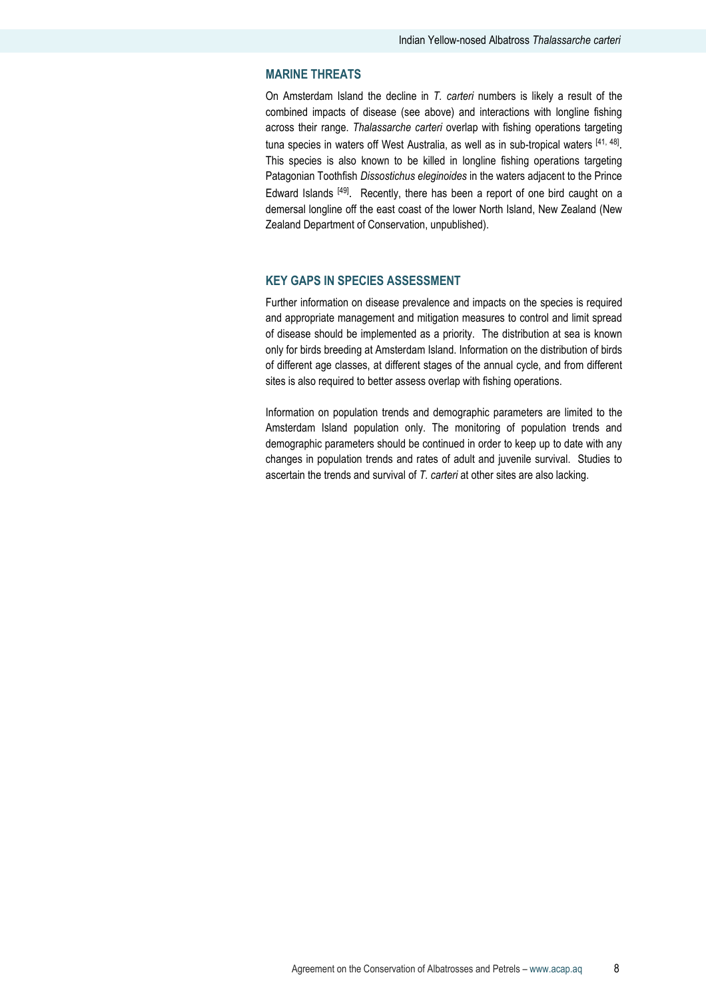#### MARINE THREATS

On Amsterdam Island the decline in  $T$ . carteri numbers is likely a result of the combined impacts of disease (see above) and interactions with longline fishing across their range. Thalassarche carteri overlap with fishing operations targeting tuna species in waters off West Australia, as well as in sub-tropical waters [41, 48]. This species is also known to be killed in longline fishing operations targeting Patagonian Toothfish Dissostichus eleginoides in the waters adjacent to the Prince Edward Islands <sup>[49]</sup>. Recently, there has been a report of one bird caught on a demersal longline off the east coast of the lower North Island, New Zealand (New Zealand Department of Conservation, unpublished).

## KEY GAPS IN SPECIES ASSESSMENT

Further information on disease prevalence and impacts on the species is required and appropriate management and mitigation measures to control and limit spread of disease should be implemented as a priority. The distribution at sea is known only for birds breeding at Amsterdam Island. Information on the distribution of birds of different age classes, at different stages of the annual cycle, and from different sites is also required to better assess overlap with fishing operations.

Information on population trends and demographic parameters are limited to the Amsterdam Island population only. The monitoring of population trends and demographic parameters should be continued in order to keep up to date with any changes in population trends and rates of adult and juvenile survival. Studies to ascertain the trends and survival of T. carteri at other sites are also lacking.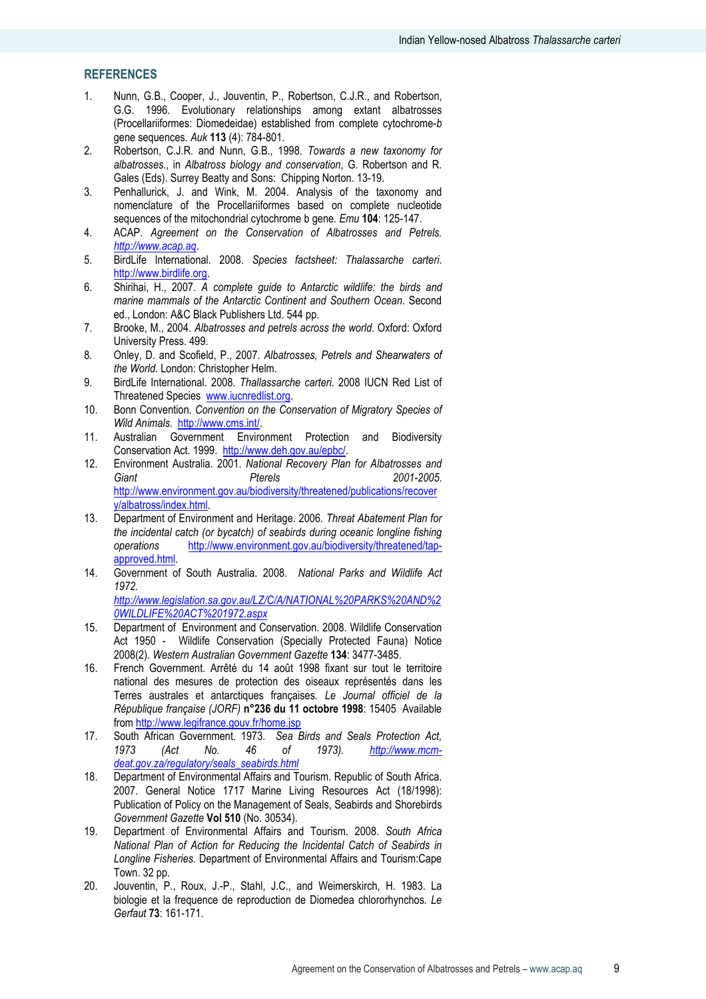## **REFERENCES**

- 1. Nunn, G.B., Cooper, J., Jouventin, P., Robertson, C.J.R., and Robertson, G.G. 1996. Evolutionary relationships among extant albatrosses (Procellariiformes: Diomedeidae) established from complete cytochrome-b gene sequences. Auk 113 (4): 784-801.
- 2. Robertson, C.J.R. and Nunn, G.B., 1998. Towards a new taxonomy for albatrosses., in Albatross biology and conservation, G. Robertson and R. Gales (Eds). Surrey Beatty and Sons: Chipping Norton. 13-19.
- 3. Penhallurick, J. and Wink, M. 2004. Analysis of the taxonomy and nomenclature of the Procellariiformes based on complete nucleotide sequences of the mitochondrial cytochrome b gene. Emu 104: 125-147.
- 4. ACAP. Agreement on the Conservation of Albatrosses and Petrels. http://www.acap.aq.
- 5. BirdLife International. 2008. Species factsheet: Thalassarche carteri. http://www.birdlife.org.
- 6. Shirihai, H., 2007. A complete guide to Antarctic wildlife: the birds and marine mammals of the Antarctic Continent and Southern Ocean. Second ed., London: A&C Black Publishers Ltd. 544 pp.
- 7. Brooke, M., 2004. Albatrosses and petrels across the world. Oxford: Oxford University Press. 499.
- 8. Onley, D. and Scofield, P., 2007. Albatrosses, Petrels and Shearwaters of the World. London: Christopher Helm.
- 9. BirdLife International. 2008. Thallassarche carteri. 2008 IUCN Red List of Threatened Species www.iucnredlist.org.
- 10. Bonn Convention. Convention on the Conservation of Migratory Species of Wild Animals. http://www.cms.int/.
- 11. Australian Government Environment Protection and Biodiversity Conservation Act. 1999. http://www.deh.gov.au/epbc/.
- 12. Environment Australia. 2001. National Recovery Plan for Albatrosses and Giant **Pterels 2001-2005**. http://www.environment.gov.au/biodiversity/threatened/publications/recover y/albatross/index.html.
- 13. Department of Environment and Heritage. 2006. Threat Abatement Plan for the incidental catch (or bycatch) of seabirds during oceanic longline fishing operations http://www.environment.gov.au/biodiversity/threatened/tapapproved.html.
- 14. Government of South Australia. 2008. National Parks and Wildlife Act 1972.

http://www.legislation.sa.gov.au/LZ/C/A/NATIONAL%20PARKS%20AND%2 0WILDLIFE%20ACT%201972.aspx

- 15. Department of Environment and Conservation. 2008. Wildlife Conservation Act 1950 - Wildlife Conservation (Specially Protected Fauna) Notice 2008(2). Western Australian Government Gazette 134: 3477-3485.
- 16. French Government. Arrêté du 14 août 1998 fixant sur tout le territoire national des mesures de protection des oiseaux représentés dans les Terres australes et antarctiques françaises. Le Journal officiel de la République française (JORF) n°236 du 11 octobre 1998: 15405 Available from http://www.legifrance.gouv.fr/home.jsp
- 17. South African Government. 1973. Sea Birds and Seals Protection Act,<br>1973. (Act No. 46 of 1973). http://www.mcm- $14C$  No. 46 of 1973). http://www.mcmdeat.gov.za/regulatory/seals\_seabirds.html
- 18. Department of Environmental Affairs and Tourism. Republic of South Africa. 2007. General Notice 1717 Marine Living Resources Act (18/1998): Publication of Policy on the Management of Seals, Seabirds and Shorebirds Government Gazette Vol 510 (No. 30534).
- 19. Department of Environmental Affairs and Tourism. 2008. South Africa National Plan of Action for Reducing the Incidental Catch of Seabirds in Longline Fisheries. Department of Environmental Affairs and Tourism:Cape Town. 32 pp.
- 20. Jouventin, P., Roux, J.-P., Stahl, J.C., and Weimerskirch, H. 1983. La biologie et la frequence de reproduction de Diomedea chlororhynchos. Le Gerfaut 73: 161-171.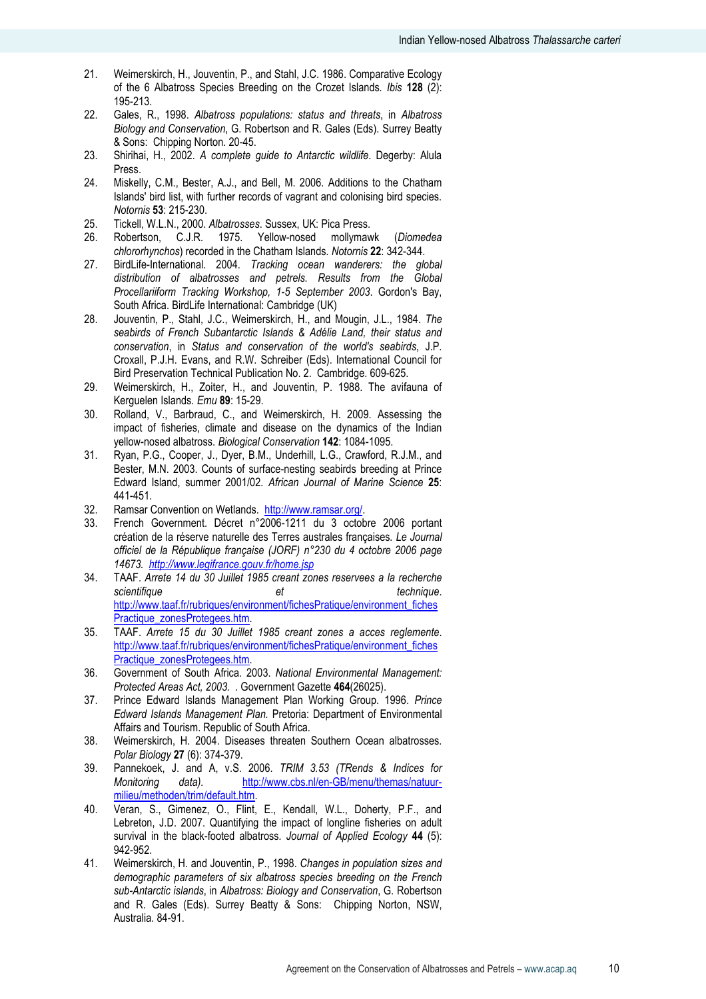- 21. Weimerskirch, H., Jouventin, P., and Stahl, J.C. 1986. Comparative Ecology of the 6 Albatross Species Breeding on the Crozet Islands. Ibis 128 (2): 195-213.
- 22. Gales, R., 1998. Albatross populations: status and threats, in Albatross Biology and Conservation, G. Robertson and R. Gales (Eds). Surrey Beatty & Sons: Chipping Norton. 20-45.
- 23. Shirihai, H., 2002. A complete guide to Antarctic wildlife. Degerby: Alula Press.
- 24. Miskelly, C.M., Bester, A.J., and Bell, M. 2006. Additions to the Chatham Islands' bird list, with further records of vagrant and colonising bird species. Notornis 53: 215-230.
- 25. Tickell, W.L.N., 2000. Albatrosses. Sussex, UK: Pica Press.
- 26. Robertson, C.J.R. 1975. Yellow-nosed mollymawk (Diomedea chlororhynchos) recorded in the Chatham Islands. Notornis 22: 342-344.
- 27. BirdLife-International. 2004. Tracking ocean wanderers: the global distribution of albatrosses and petrels. Results from the Global Procellariiform Tracking Workshop, 1-5 September 2003. Gordon's Bay, South Africa. BirdLife International: Cambridge (UK)
- 28. Jouventin, P., Stahl, J.C., Weimerskirch, H., and Mougin, J.L., 1984. The seabirds of French Subantarctic Islands & Adélie Land, their status and conservation, in Status and conservation of the world's seabirds, J.P. Croxall, P.J.H. Evans, and R.W. Schreiber (Eds). International Council for Bird Preservation Technical Publication No. 2. Cambridge. 609-625.
- 29. Weimerskirch, H., Zoiter, H., and Jouventin, P. 1988. The avifauna of Kerguelen Islands. Emu 89: 15-29.
- 30. Rolland, V., Barbraud, C., and Weimerskirch, H. 2009. Assessing the impact of fisheries, climate and disease on the dynamics of the Indian yellow-nosed albatross. Biological Conservation 142: 1084-1095.
- 31. Ryan, P.G., Cooper, J., Dyer, B.M., Underhill, L.G., Crawford, R.J.M., and Bester, M.N. 2003. Counts of surface-nesting seabirds breeding at Prince Edward Island, summer 2001/02. African Journal of Marine Science 25: 441-451.
- 32. Ramsar Convention on Wetlands. http://www.ramsar.org/.
- 33. French Government. Décret n°2006-1211 du 3 octobre 2006 portant création de la réserve naturelle des Terres australes françaises. Le Journal officiel de la République française (JORF) n°230 du 4 octobre 2006 page 14673. http://www.legifrance.gouv.fr/home.jsp
- 34. TAAF. Arrete 14 du 30 Juillet 1985 creant zones reservees a la recherche scientifique et et technique. http://www.taaf.fr/rubriques/environment/fichesPratique/environment\_fiches Practique\_zonesProtegees.htm.
- 35. TAAF. Arrete 15 du 30 Juillet 1985 creant zones a acces reglemente. http://www.taaf.fr/rubriques/environment/fichesPratique/environment\_fiches Practique\_zonesProtegees.htm.
- 36. Government of South Africa. 2003. National Environmental Management: Protected Areas Act, 2003. . Government Gazette 464(26025).
- 37. Prince Edward Islands Management Plan Working Group. 1996. Prince Edward Islands Management Plan. Pretoria: Department of Environmental Affairs and Tourism. Republic of South Africa.
- 38. Weimerskirch, H. 2004. Diseases threaten Southern Ocean albatrosses. Polar Biology 27 (6): 374-379.
- 39. Pannekoek, J. and A, v.S. 2006. TRIM 3.53 (TRends & Indices for Monitoring data). http://www.cbs.nl/en-GB/menu/themas/natuurmilieu/methoden/trim/default.htm.
- 40. Veran, S., Gimenez, O., Flint, E., Kendall, W.L., Doherty, P.F., and Lebreton, J.D. 2007. Quantifying the impact of longline fisheries on adult survival in the black-footed albatross. Journal of Applied Ecology 44 (5): 942-952.
- 41. Weimerskirch, H. and Jouventin, P., 1998. Changes in population sizes and demographic parameters of six albatross species breeding on the French sub-Antarctic islands, in Albatross: Biology and Conservation, G. Robertson and R. Gales (Eds). Surrey Beatty & Sons: Chipping Norton, NSW, Australia. 84-91.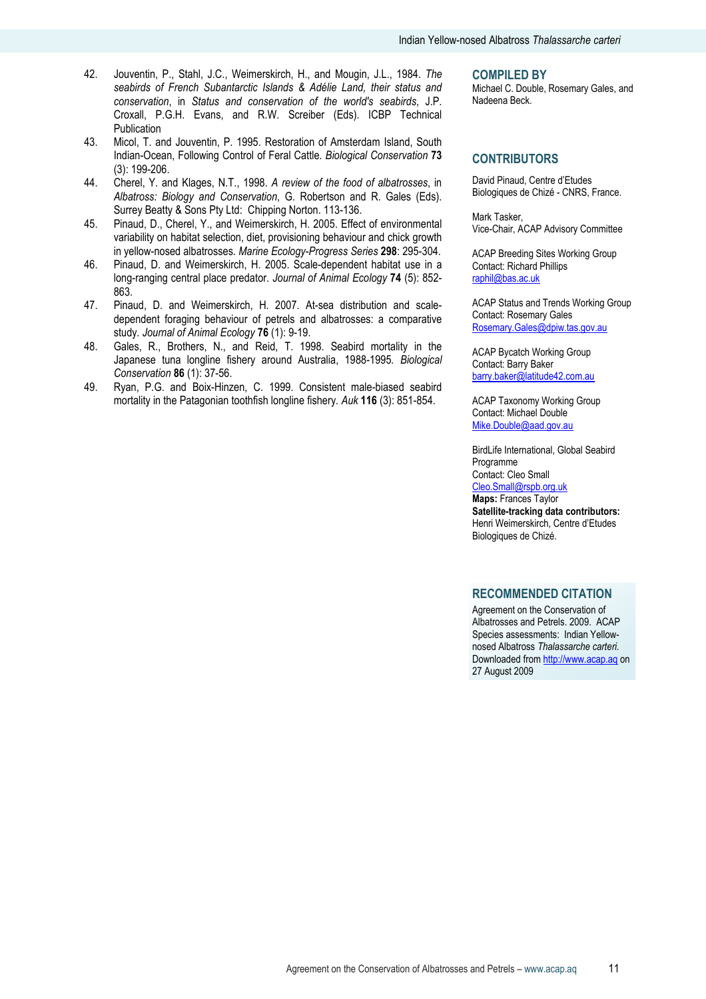- 42. Jouventin, P., Stahl, J.C., Weimerskirch, H., and Mougin, J.L., 1984. The seabirds of French Subantarctic Islands & Adélie Land, their status and conservation, in Status and conservation of the world's seabirds, J.P. Croxall, P.G.H. Evans, and R.W. Screiber (Eds). ICBP Technical Publication
- 43. Micol, T. and Jouventin, P. 1995. Restoration of Amsterdam Island, South Indian-Ocean, Following Control of Feral Cattle. Biological Conservation 73 (3): 199-206.
- 44. Cherel, Y. and Klages, N.T., 1998. A review of the food of albatrosses, in Albatross: Biology and Conservation, G. Robertson and R. Gales (Eds). Surrey Beatty & Sons Pty Ltd: Chipping Norton. 113-136.
- 45. Pinaud, D., Cherel, Y., and Weimerskirch, H. 2005. Effect of environmental variability on habitat selection, diet, provisioning behaviour and chick growth in yellow-nosed albatrosses. Marine Ecology-Progress Series 298: 295-304.
- 46. Pinaud, D. and Weimerskirch, H. 2005. Scale-dependent habitat use in a long-ranging central place predator. Journal of Animal Ecology 74 (5): 852-863.
- 47. Pinaud, D. and Weimerskirch, H. 2007. At-sea distribution and scaledependent foraging behaviour of petrels and albatrosses: a comparative study. Journal of Animal Ecology 76 (1): 9-19.
- 48. Gales, R., Brothers, N., and Reid, T. 1998. Seabird mortality in the Japanese tuna longline fishery around Australia, 1988-1995. Biological Conservation 86 (1): 37-56.
- 49. Ryan, P.G. and Boix-Hinzen, C. 1999. Consistent male-biased seabird mortality in the Patagonian toothfish longline fishery. Auk 116 (3): 851-854.

#### **COMPILED BY**

Michael C. Double, Rosemary Gales, and Nadeena Beck.

#### **CONTRIBUTORS**

David Pinaud, Centre d'Etudes Biologiques de Chizé - CNRS, France.

Mark Tasker, Vice-Chair, ACAP Advisory Committee

ACAP Breeding Sites Working Group Contact: Richard Phillips raphil@bas.ac.uk

ACAP Status and Trends Working Group Contact: Rosemary Gales Rosemary.Gales@dpiw.tas.gov.au

ACAP Bycatch Working Group Contact: Barry Baker barry.baker@latitude42.com.au

ACAP Taxonomy Working Group Contact: Michael Double Mike.Double@aad.gov.au

BirdLife International, Global Seabird Programme Contact: Cleo Small Cleo.Small@rspb.org.uk Maps: Frances Taylor

Satellite-tracking data contributors: Henri Weimerskirch, Centre d'Etudes Biologiques de Chizé.

#### RECOMMENDED CITATION

Agreement on the Conservation of Albatrosses and Petrels. 2009. ACAP Species assessments: Indian Yellownosed Albatross Thalassarche carteri. Downloaded from http://www.acap.aq on 27 August 2009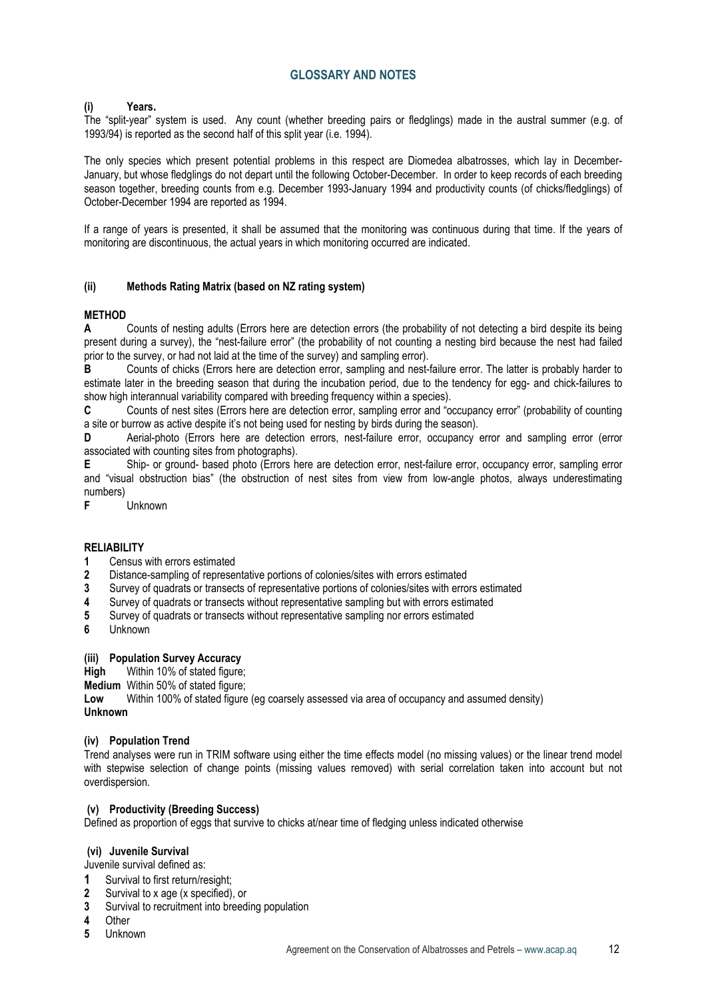## GLOSSARY AND NOTES

## (i) Years.

The "split-year" system is used. Any count (whether breeding pairs or fledglings) made in the austral summer (e.g. of 1993/94) is reported as the second half of this split year (i.e. 1994).

The only species which present potential problems in this respect are Diomedea albatrosses, which lay in December-January, but whose fledglings do not depart until the following October-December. In order to keep records of each breeding season together, breeding counts from e.g. December 1993-January 1994 and productivity counts (of chicks/fledglings) of October-December 1994 are reported as 1994.

If a range of years is presented, it shall be assumed that the monitoring was continuous during that time. If the years of monitoring are discontinuous, the actual years in which monitoring occurred are indicated.

#### (ii) Methods Rating Matrix (based on NZ rating system)

#### METHOD

A Counts of nesting adults (Errors here are detection errors (the probability of not detecting a bird despite its being present during a survey), the "nest-failure error" (the probability of not counting a nesting bird because the nest had failed prior to the survey, or had not laid at the time of the survey) and sampling error).

B Counts of chicks (Errors here are detection error, sampling and nest-failure error. The latter is probably harder to estimate later in the breeding season that during the incubation period, due to the tendency for egg- and chick-failures to show high interannual variability compared with breeding frequency within a species).

C Counts of nest sites (Errors here are detection error, sampling error and "occupancy error" (probability of counting a site or burrow as active despite it's not being used for nesting by birds during the season).

D Aerial-photo (Errors here are detection errors, nest-failure error, occupancy error and sampling error (error associated with counting sites from photographs).

E Ship- or ground- based photo (Errors here are detection error, nest-failure error, occupancy error, sampling error and "visual obstruction bias" (the obstruction of nest sites from view from low-angle photos, always underestimating numbers)

F Unknown

## RELIABILITY

1 Census with errors estimated

- 2 Distance-sampling of representative portions of colonies/sites with errors estimated
- 3 Survey of quadrats or transects of representative portions of colonies/sites with errors estimated
- 4 Survey of quadrats or transects without representative sampling but with errors estimated
- 5 Survey of quadrats or transects without representative sampling nor errors estimated
- 6 Unknown

## (iii) Population Survey Accuracy

High Within 10% of stated figure;

Medium Within 50% of stated figure;

Low Within 100% of stated figure (eg coarsely assessed via area of occupancy and assumed density) Unknown

## (iv) Population Trend

Trend analyses were run in TRIM software using either the time effects model (no missing values) or the linear trend model with stepwise selection of change points (missing values removed) with serial correlation taken into account but not overdispersion.

#### (v) Productivity (Breeding Success)

Defined as proportion of eggs that survive to chicks at/near time of fledging unless indicated otherwise

#### (vi) Juvenile Survival

Juvenile survival defined as:

- 1 Survival to first return/resight:
- 2 Survival to x age (x specified), or
- 3 Survival to recruitment into breeding population<br>4 Other
- Other
- 5 Unknown